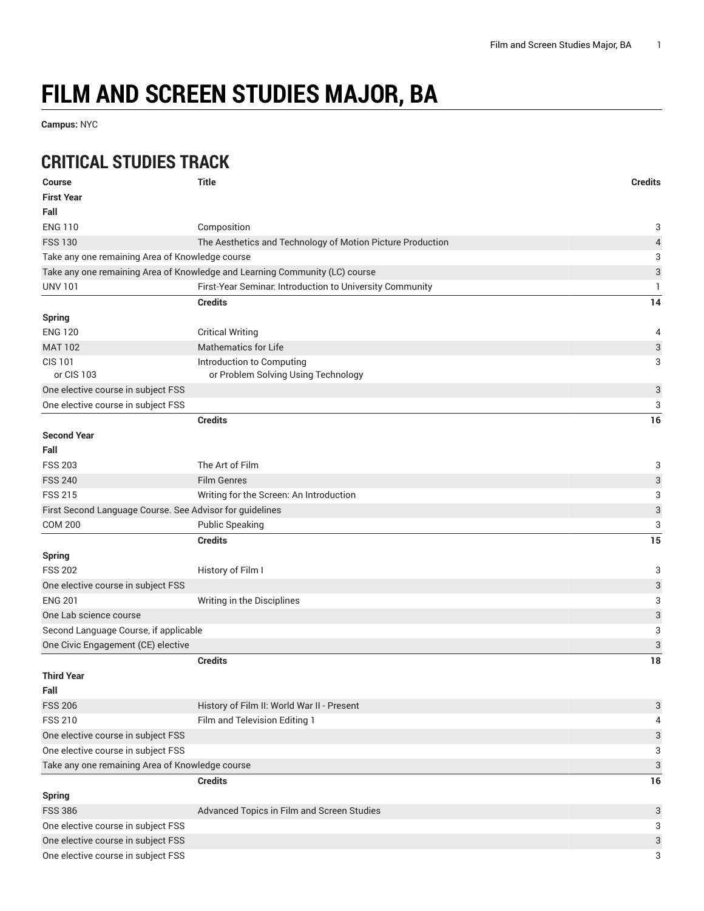## **FILM AND SCREEN STUDIES MAJOR, BA**

**Campus:** NYC

## **CRITICAL STUDIES TRACK**

| <b>Course</b>                                            | <b>Title</b>                                                                | <b>Credits</b> |
|----------------------------------------------------------|-----------------------------------------------------------------------------|----------------|
| <b>First Year</b>                                        |                                                                             |                |
| Fall                                                     |                                                                             |                |
| <b>ENG 110</b>                                           | Composition                                                                 | 3              |
| <b>FSS 130</b>                                           | The Aesthetics and Technology of Motion Picture Production                  | 4              |
| Take any one remaining Area of Knowledge course          |                                                                             | 3              |
|                                                          | Take any one remaining Area of Knowledge and Learning Community (LC) course | 3              |
| <b>UNV 101</b>                                           | First-Year Seminar. Introduction to University Community                    | 1              |
|                                                          | <b>Credits</b>                                                              | 14             |
| <b>Spring</b>                                            |                                                                             |                |
| <b>ENG 120</b>                                           | <b>Critical Writing</b>                                                     | 4              |
| <b>MAT 102</b>                                           | <b>Mathematics for Life</b>                                                 | 3              |
| <b>CIS 101</b>                                           | Introduction to Computing                                                   | 3              |
| or CIS 103                                               | or Problem Solving Using Technology                                         |                |
| One elective course in subject FSS                       |                                                                             | 3              |
| One elective course in subject FSS                       |                                                                             | 3              |
|                                                          | <b>Credits</b>                                                              | 16             |
| <b>Second Year</b>                                       |                                                                             |                |
| Fall                                                     |                                                                             |                |
| <b>FSS 203</b>                                           | The Art of Film                                                             | 3              |
| <b>FSS 240</b>                                           | <b>Film Genres</b>                                                          | 3              |
| <b>FSS 215</b>                                           | Writing for the Screen: An Introduction                                     | 3              |
| First Second Language Course. See Advisor for guidelines |                                                                             | 3              |
| <b>COM 200</b>                                           | <b>Public Speaking</b>                                                      | 3              |
|                                                          | <b>Credits</b>                                                              | 15             |
| <b>Spring</b>                                            |                                                                             |                |
| <b>FSS 202</b>                                           | History of Film I                                                           | 3              |
| One elective course in subject FSS                       |                                                                             | 3              |
| <b>ENG 201</b>                                           | Writing in the Disciplines                                                  | 3              |
| One Lab science course                                   |                                                                             | 3              |
| Second Language Course, if applicable                    |                                                                             | 3              |
| One Civic Engagement (CE) elective                       |                                                                             | 3              |
|                                                          | <b>Credits</b>                                                              | 18             |
| <b>Third Year</b>                                        |                                                                             |                |
| Fall                                                     |                                                                             |                |
| <b>FSS 206</b>                                           | History of Film II: World War II - Present                                  | 3              |
| <b>FSS 210</b>                                           | Film and Television Editing 1                                               | 4              |
| One elective course in subject FSS                       |                                                                             | 3              |
| One elective course in subject FSS                       |                                                                             | 3              |
| Take any one remaining Area of Knowledge course          |                                                                             | 3              |
|                                                          | <b>Credits</b>                                                              | 16             |
| <b>Spring</b>                                            |                                                                             |                |
| <b>FSS 386</b>                                           | Advanced Topics in Film and Screen Studies                                  | 3              |
| One elective course in subject FSS                       |                                                                             | 3              |
| One elective course in subject FSS                       |                                                                             | 3              |
| One elective course in subject FSS                       |                                                                             | 3              |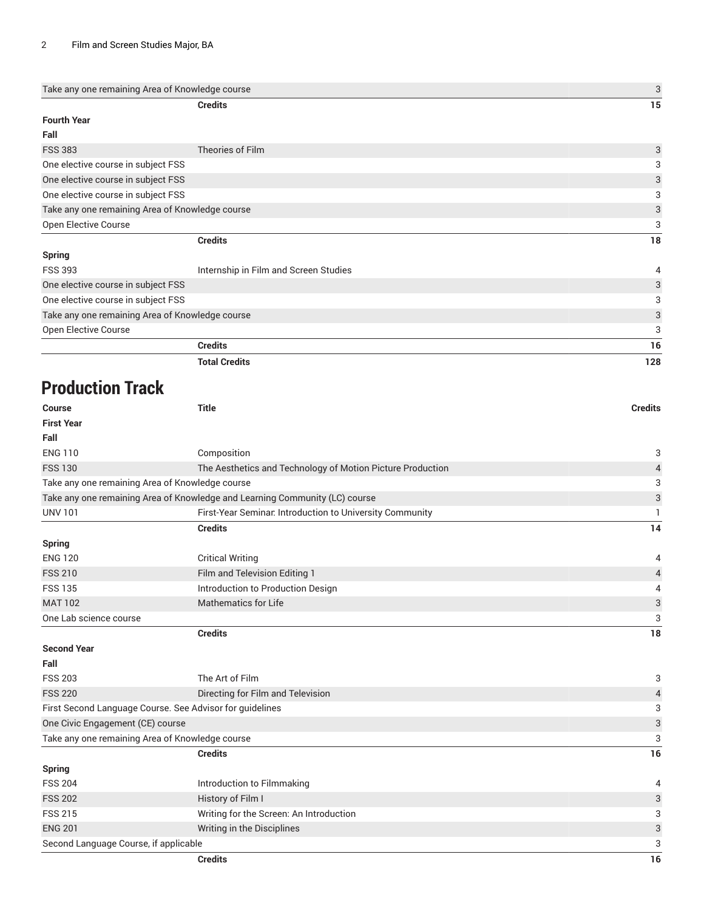| Take any one remaining Area of Knowledge course |                                                                             | 3                         |
|-------------------------------------------------|-----------------------------------------------------------------------------|---------------------------|
|                                                 | <b>Credits</b>                                                              | 15                        |
| <b>Fourth Year</b>                              |                                                                             |                           |
| Fall                                            |                                                                             |                           |
| <b>FSS 383</b>                                  | Theories of Film                                                            | $\mathbf{3}$              |
| One elective course in subject FSS              |                                                                             | 3                         |
| One elective course in subject FSS              |                                                                             | $\sqrt{3}$                |
| One elective course in subject FSS              |                                                                             | 3                         |
| Take any one remaining Area of Knowledge course |                                                                             | $\ensuremath{\mathsf{3}}$ |
| Open Elective Course                            |                                                                             | 3                         |
|                                                 | <b>Credits</b>                                                              | 18                        |
| Spring                                          |                                                                             |                           |
| <b>FSS 393</b>                                  | Internship in Film and Screen Studies                                       | $\overline{4}$            |
| One elective course in subject FSS              |                                                                             | $\sqrt{3}$                |
| One elective course in subject FSS              |                                                                             | 3                         |
| Take any one remaining Area of Knowledge course |                                                                             | $\sqrt{3}$                |
| Open Elective Course                            |                                                                             | 3                         |
|                                                 | <b>Credits</b>                                                              | 16                        |
|                                                 | <b>Total Credits</b>                                                        | 128                       |
| <b>Production Track</b>                         |                                                                             |                           |
| <b>Course</b>                                   | <b>Title</b>                                                                | <b>Credits</b>            |
| <b>First Year</b>                               |                                                                             |                           |
| Fall                                            |                                                                             |                           |
| <b>ENG 110</b>                                  | Composition                                                                 | 3                         |
| <b>FSS 130</b>                                  | The Aesthetics and Technology of Motion Picture Production                  | $\overline{4}$            |
| Take any one remaining Area of Knowledge course |                                                                             | 3                         |
|                                                 | Take any one remaining Area of Knowledge and Learning Community (LC) course | $\sqrt{3}$                |
| <b>UNV 101</b>                                  | First-Year Seminar. Introduction to University Community                    | $\mathbf{1}$              |
|                                                 | <b>Credits</b>                                                              | 14                        |
| <b>Spring</b>                                   |                                                                             |                           |
| <b>ENG 120</b>                                  | <b>Critical Writing</b>                                                     | 4                         |
| <b>FSS 210</b>                                  | Film and Television Editing 1                                               | $\overline{4}$            |
| <b>FSS 135</b>                                  | Introduction to Production Design                                           | $\overline{4}$            |
| <b>MAT 102</b>                                  | <b>Mathematics for Life</b>                                                 | $\ensuremath{\mathsf{3}}$ |
| One Lab science course                          |                                                                             | 3                         |

**Second Year**

| <b>Spring</b>                                            |                                   |    |
|----------------------------------------------------------|-----------------------------------|----|
|                                                          | <b>Credits</b>                    | 16 |
| Take any one remaining Area of Knowledge course          |                                   | 3  |
| One Civic Engagement (CE) course                         |                                   | 3  |
| First Second Language Course. See Advisor for guidelines |                                   | 3  |
| <b>FSS 220</b>                                           | Directing for Film and Television | 4  |
| <b>FSS 203</b>                                           | The Art of Film                   | 3  |
| Fall                                                     |                                   |    |

**Credits 18**

| Credits                               |                                         | 16             |
|---------------------------------------|-----------------------------------------|----------------|
| Second Language Course, if applicable |                                         | 3              |
| <b>ENG 201</b>                        | Writing in the Disciplines              | 3              |
| <b>FSS 215</b>                        | Writing for the Screen: An Introduction | 3              |
| <b>FSS 202</b>                        | History of Film I                       | 3              |
| <b>FSS 204</b>                        | Introduction to Filmmaking              | $\overline{4}$ |